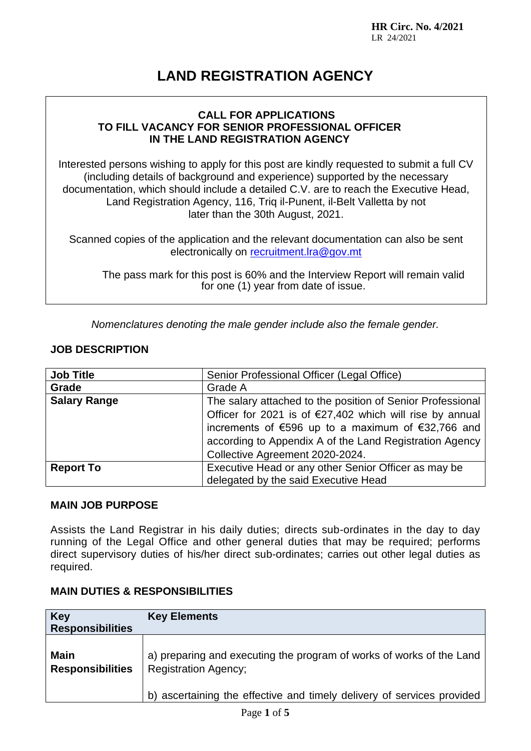**HR Circ. No. 4/2021** LR 24/2021

# **LAND REGISTRATION AGENCY**

### **CALL FOR APPLICATIONS TO FILL VACANCY FOR SENIOR PROFESSIONAL OFFICER IN THE LAND REGISTRATION AGENCY**

Interested persons wishing to apply for this post are kindly requested to submit a full CV (including details of background and experience) supported by the necessary documentation, which should include a detailed C.V. are to reach the Executive Head, Land Registration Agency, 116, Triq il-Punent, il-Belt Valletta by not later than the 30th August, 2021.

Scanned copies of the application and the relevant documentation can also be sent electronically on [recruitment.lra@gov.mt](mailto:recruitment.lra@gov.mt)

The pass mark for this post is 60% and the Interview Report will remain valid for one (1) year from date of issue.

*Nomenclatures denoting the male gender include also the female gender.*

# **JOB DESCRIPTION**

| <b>Job Title</b>    | Senior Professional Officer (Legal Office)                         |
|---------------------|--------------------------------------------------------------------|
| Grade               | Grade A                                                            |
| <b>Salary Range</b> | The salary attached to the position of Senior Professional         |
|                     | Officer for 2021 is of $\epsilon$ 27,402 which will rise by annual |
|                     | increments of €596 up to a maximum of €32,766 and                  |
|                     | according to Appendix A of the Land Registration Agency            |
|                     | Collective Agreement 2020-2024.                                    |
| <b>Report To</b>    | Executive Head or any other Senior Officer as may be               |
|                     | delegated by the said Executive Head                               |

### **MAIN JOB PURPOSE**

Assists the Land Registrar in his daily duties; directs sub-ordinates in the day to day running of the Legal Office and other general duties that may be required; performs direct supervisory duties of his/her direct sub-ordinates; carries out other legal duties as required.

### **MAIN DUTIES & RESPONSIBILITIES**

| <b>Key</b><br><b>Responsibilities</b>  | <b>Key Elements</b>                                                                                 |
|----------------------------------------|-----------------------------------------------------------------------------------------------------|
| <b>Main</b><br><b>Responsibilities</b> | a) preparing and executing the program of works of works of the Land<br><b>Registration Agency;</b> |
|                                        | b) ascertaining the effective and timely delivery of services provided                              |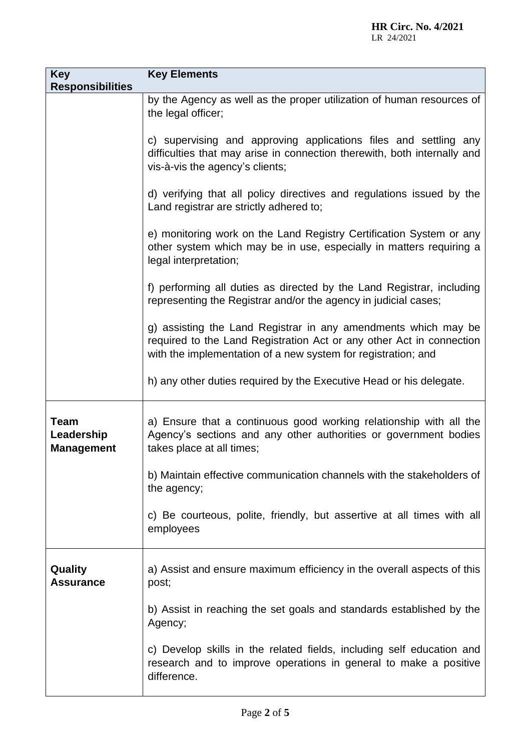| <b>Key</b><br><b>Responsibilities</b>          | <b>Key Elements</b>                                                                                                                                                                                     |
|------------------------------------------------|---------------------------------------------------------------------------------------------------------------------------------------------------------------------------------------------------------|
|                                                | by the Agency as well as the proper utilization of human resources of<br>the legal officer;                                                                                                             |
|                                                | c) supervising and approving applications files and settling any<br>difficulties that may arise in connection therewith, both internally and<br>vis-à-vis the agency's clients;                         |
|                                                | d) verifying that all policy directives and regulations issued by the<br>Land registrar are strictly adhered to;                                                                                        |
|                                                | e) monitoring work on the Land Registry Certification System or any<br>other system which may be in use, especially in matters requiring a<br>legal interpretation;                                     |
|                                                | f) performing all duties as directed by the Land Registrar, including<br>representing the Registrar and/or the agency in judicial cases;                                                                |
|                                                | g) assisting the Land Registrar in any amendments which may be<br>required to the Land Registration Act or any other Act in connection<br>with the implementation of a new system for registration; and |
|                                                | h) any other duties required by the Executive Head or his delegate.                                                                                                                                     |
| <b>Team</b><br>Leadership<br><b>Management</b> | a) Ensure that a continuous good working relationship with all the<br>Agency's sections and any other authorities or government bodies<br>takes place at all times;                                     |
|                                                | b) Maintain effective communication channels with the stakeholders of<br>the agency;                                                                                                                    |
|                                                | c) Be courteous, polite, friendly, but assertive at all times with all<br>employees                                                                                                                     |
| Quality<br><b>Assurance</b>                    | a) Assist and ensure maximum efficiency in the overall aspects of this<br>post;                                                                                                                         |
|                                                | b) Assist in reaching the set goals and standards established by the<br>Agency;                                                                                                                         |
|                                                | c) Develop skills in the related fields, including self education and<br>research and to improve operations in general to make a positive<br>difference.                                                |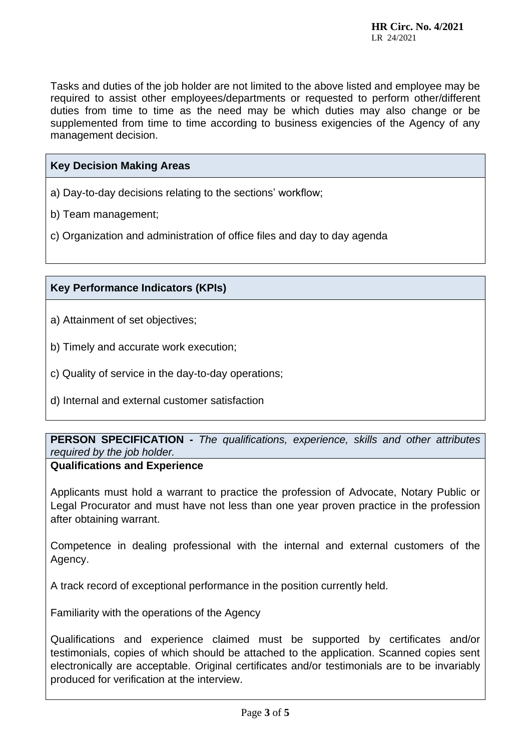Tasks and duties of the job holder are not limited to the above listed and employee may be required to assist other employees/departments or requested to perform other/different duties from time to time as the need may be which duties may also change or be supplemented from time to time according to business exigencies of the Agency of any management decision.

#### **Key Decision Making Areas**

a) Day-to-day decisions relating to the sections' workflow;

- b) Team management;
- c) Organization and administration of office files and day to day agenda

### **Key Performance Indicators (KPIs)**

- a) Attainment of set objectives;
- b) Timely and accurate work execution;
- c) Quality of service in the day-to-day operations;
- d) Internal and external customer satisfaction

**PERSON SPECIFICATION -** *The qualifications, experience, skills and other attributes required by the job holder.*

#### **Qualifications and Experience**

Applicants must hold a warrant to practice the profession of Advocate, Notary Public or Legal Procurator and must have not less than one year proven practice in the profession after obtaining warrant.

Competence in dealing professional with the internal and external customers of the Agency.

A track record of exceptional performance in the position currently held.

Familiarity with the operations of the Agency

Qualifications and experience claimed must be supported by certificates and/or testimonials, copies of which should be attached to the application. Scanned copies sent electronically are acceptable. Original certificates and/or testimonials are to be invariably produced for verification at the interview.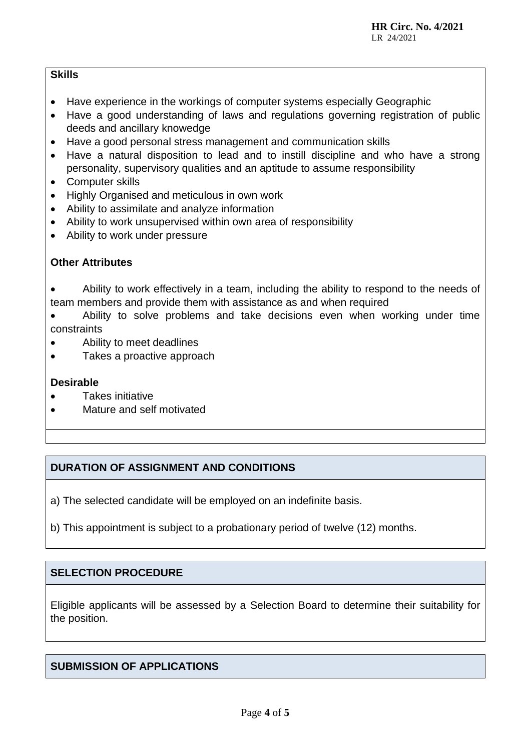# **Skills**

- Have experience in the workings of computer systems especially Geographic
- Have a good understanding of laws and regulations governing registration of public deeds and ancillary knowedge
- Have a good personal stress management and communication skills
- Have a natural disposition to lead and to instill discipline and who have a strong personality, supervisory qualities and an aptitude to assume responsibility
- Computer skills
- Highly Organised and meticulous in own work
- Ability to assimilate and analyze information
- Ability to work unsupervised within own area of responsibility
- Ability to work under pressure

# **Other Attributes**

• Ability to work effectively in a team, including the ability to respond to the needs of team members and provide them with assistance as and when required

• Ability to solve problems and take decisions even when working under time constraints

- Ability to meet deadlines
- Takes a proactive approach

# **Desirable**

- Takes initiative
- Mature and self motivated

# **DURATION OF ASSIGNMENT AND CONDITIONS**

a) The selected candidate will be employed on an indefinite basis.

b) This appointment is subject to a probationary period of twelve (12) months.

# **SELECTION PROCEDURE**

Eligible applicants will be assessed by a Selection Board to determine their suitability for the position.

# **SUBMISSION OF APPLICATIONS**